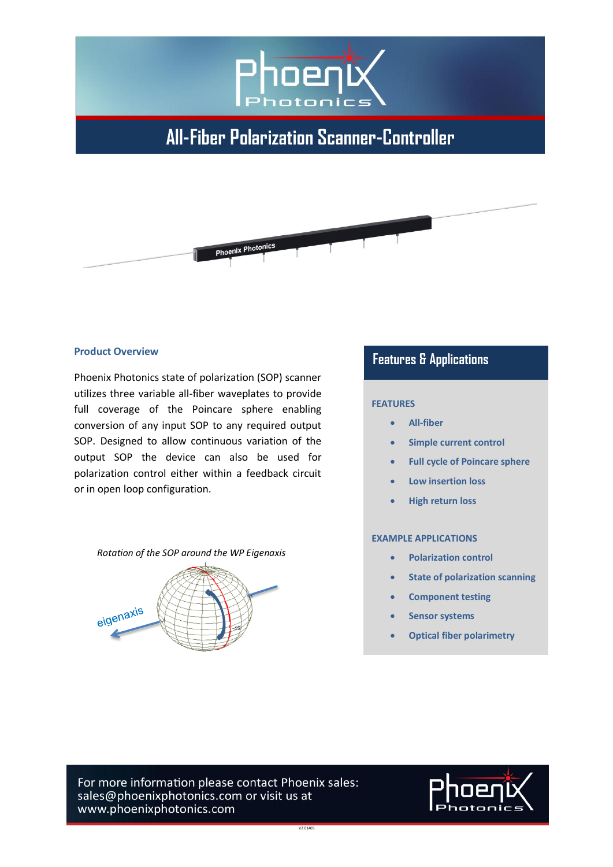

# **All-Fiber Polarization Scanner-Controller**



#### **Product Overview**

Phoenix Photonics state of polarization (SOP) scanner utilizes three variable all-fiber waveplates to provide full coverage of the Poincare sphere enabling conversion of any input SOP to any required output SOP. Designed to allow continuous variation of the output SOP the device can also be used for polarization control either within a feedback circuit or in open loop configuration.

#### *Rotation of the SOP around the WP Eigenaxis*



### **Features & Applications**

#### **FEATURES**

- **All-fiber**
- **Simple current control**
- **Full cycle of Poincare sphere**
- **Low insertion loss**
- **High return loss**

#### **EXAMPLE APPLICATIONS**

- **Polarization control**
- **State of polarization scanning**
- **Component testing**
- **Sensor systems**
- **Optical fiber polarimetry**

For more information please contact Phoenix sales: sales@phoenixphotonics.com or visit us at www.phoenixphotonics.com